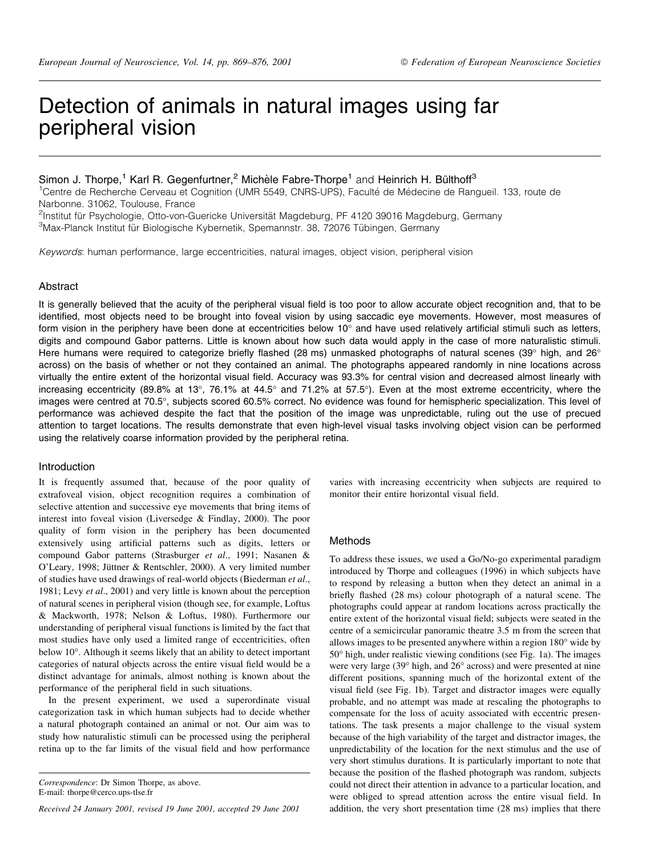# Detection of animals in natural images using far peripheral vision

# Simon J. Thorpe,<sup>1</sup> Karl R. Gegenfurtner,<sup>2</sup> Michèle Fabre-Thorpe<sup>1</sup> and Heinrich H. Bülthoff<sup>3</sup>

<sup>1</sup>Centre de Recherche Cerveau et Cognition (UMR 5549, CNRS-UPS), Faculté de Médecine de Rangueil. 133, route de Narbonne. 31062, Toulouse, France

<sup>2</sup>Institut für Psychologie, Otto-von-Guericke Universität Magdeburg, PF 4120 39016 Magdeburg, Germany<br><sup>3</sup>Max Planck Institut für Biologische Kybernetik, Spemannstr, 38, 72076 Tübingen, Germany <sup>3</sup>Max-Planck Institut für Biologische Kybernetik, Spemannstr. 38, 72076 Tübingen, Germany

Keywords: human performance, large eccentricities, natural images, object vision, peripheral vision

### Abstract

It is generally believed that the acuity of the peripheral visual field is too poor to allow accurate object recognition and, that to be identified, most objects need to be brought into foveal vision by using saccadic eye movements. However, most measures of form vision in the periphery have been done at eccentricities below  $10^\circ$  and have used relatively artificial stimuli such as letters, digits and compound Gabor patterns. Little is known about how such data would apply in the case of more naturalistic stimuli. Here humans were required to categorize briefly flashed (28 ms) unmasked photographs of natural scenes (39° high, and 26° across) on the basis of whether or not they contained an animal. The photographs appeared randomly in nine locations across virtually the entire extent of the horizontal visual field. Accuracy was 93.3% for central vision and decreased almost linearly with increasing eccentricity (89.8% at 13°, 76.1% at 44.5° and 71.2% at 57.5°). Even at the most extreme eccentricity, where the images were centred at 70.5°, subjects scored 60.5% correct. No evidence was found for hemispheric specialization. This level of performance was achieved despite the fact that the position of the image was unpredictable, ruling out the use of precued attention to target locations. The results demonstrate that even high-level visual tasks involving object vision can be performed using the relatively coarse information provided by the peripheral retina.

#### Introduction

It is frequently assumed that, because of the poor quality of extrafoveal vision, object recognition requires a combination of selective attention and successive eye movements that bring items of interest into foveal vision (Liversedge & Findlay, 2000). The poor quality of form vision in the periphery has been documented extensively using artificial patterns such as digits, letters or compound Gabor patterns (Strasburger et al., 1991; Nasanen & O'Leary, 1998; Jüttner & Rentschler, 2000). A very limited number of studies have used drawings of real-world objects (Biederman et al., 1981; Levy et al., 2001) and very little is known about the perception of natural scenes in peripheral vision (though see, for example, Loftus & Mackworth, 1978; Nelson & Loftus, 1980). Furthermore our understanding of peripheral visual functions is limited by the fact that most studies have only used a limited range of eccentricities, often below 10°. Although it seems likely that an ability to detect important categories of natural objects across the entire visual field would be a distinct advantage for animals, almost nothing is known about the performance of the peripheral field in such situations.

In the present experiment, we used a superordinate visual categorization task in which human subjects had to decide whether a natural photograph contained an animal or not. Our aim was to study how naturalistic stimuli can be processed using the peripheral retina up to the far limits of the visual field and how performance

Correspondence: Dr Simon Thorpe, as above. E-mail: thorpe@cerco.ups-tlse.fr

Received 24 January 2001, revised 19 June 2001, accepted 29 June 2001

varies with increasing eccentricity when subjects are required to monitor their entire horizontal visual field.

# Methods

To address these issues, we used a Go/No-go experimental paradigm introduced by Thorpe and colleagues (1996) in which subjects have to respond by releasing a button when they detect an animal in a briefly flashed (28 ms) colour photograph of a natural scene. The photographs could appear at random locations across practically the entire extent of the horizontal visual field; subjects were seated in the centre of a semicircular panoramic theatre 3.5 m from the screen that allows images to be presented anywhere within a region 180° wide by 50° high, under realistic viewing conditions (see Fig. 1a). The images were very large (39° high, and 26° across) and were presented at nine different positions, spanning much of the horizontal extent of the visual field (see Fig. 1b). Target and distractor images were equally probable, and no attempt was made at rescaling the photographs to compensate for the loss of acuity associated with eccentric presentations. The task presents a major challenge to the visual system because of the high variability of the target and distractor images, the unpredictability of the location for the next stimulus and the use of very short stimulus durations. It is particularly important to note that because the position of the flashed photograph was random, subjects could not direct their attention in advance to a particular location, and were obliged to spread attention across the entire visual field. In addition, the very short presentation time (28 ms) implies that there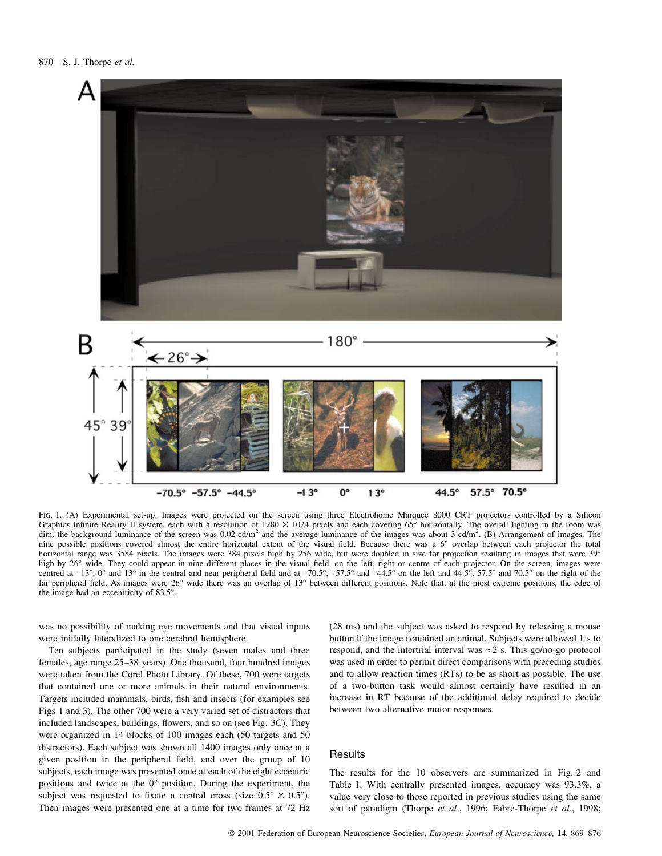

FIG. 1. (A) Experimental set-up. Images were projected on the screen using three Electrohome Marquee 8000 CRT projectors controlled by a Silicon Graphics Infinite Reality II system, each with a resolution of  $1280 \times 1024$  pixels and each covering 65° horizontally. The overall lighting in the room was dim, the background luminance of the screen was 0.02 cd/m<sup>2</sup> and the average luminance of the images was about 3 cd/m<sup>2</sup>. (B) Arrangement of images. The nine possible positions covered almost the entire horizontal extent of the visual field. Because there was a 6° overlap between each projector the total horizontal range was 3584 pixels. The images were 384 pixels high by 256 wide, but were doubled in size for projection resulting in images that were 39° high by 26° wide. They could appear in nine different places in the visual field, on the left, right or centre of each projector. On the screen, images were centred at  $-13^\circ$ , 0° and  $13^\circ$  in the central and near peripheral field and at  $-70.5^\circ$ ,  $-57.5^\circ$  and  $-44.5^\circ$  on the left and  $44.5^\circ$ ,  $57.5^\circ$  and  $70.5^\circ$  on the right of the far peripheral field. As images were 26° wide there was an overlap of 13° between different positions. Note that, at the most extreme positions, the edge of the image had an eccentricity of 83.5°.

was no possibility of making eye movements and that visual inputs were initially lateralized to one cerebral hemisphere.

Ten subjects participated in the study (seven males and three females, age range 25-38 years). One thousand, four hundred images were taken from the Corel Photo Library. Of these, 700 were targets that contained one or more animals in their natural environments. Targets included mammals, birds, fish and insects (for examples see Figs 1 and 3). The other 700 were a very varied set of distractors that included landscapes, buildings, flowers, and so on (see Fig. 3C). They were organized in 14 blocks of 100 images each (50 targets and 50 distractors). Each subject was shown all 1400 images only once at a given position in the peripheral field, and over the group of 10 subjects, each image was presented once at each of the eight eccentric positions and twice at the 0° position. During the experiment, the subject was requested to fixate a central cross (size  $0.5^{\circ} \times 0.5^{\circ}$ ). Then images were presented one at a time for two frames at 72 Hz

(28 ms) and the subject was asked to respond by releasing a mouse button if the image contained an animal. Subjects were allowed 1 s to respond, and the intertrial interval was  $\approx 2$  s. This go/no-go protocol was used in order to permit direct comparisons with preceding studies and to allow reaction times (RTs) to be as short as possible. The use of a two-button task would almost certainly have resulted in an increase in RT because of the additional delay required to decide between two alternative motor responses.

# **Results**

The results for the 10 observers are summarized in Fig. 2 and Table 1. With centrally presented images, accuracy was 93.3%, a value very close to those reported in previous studies using the same sort of paradigm (Thorpe et al., 1996; Fabre-Thorpe et al., 1998;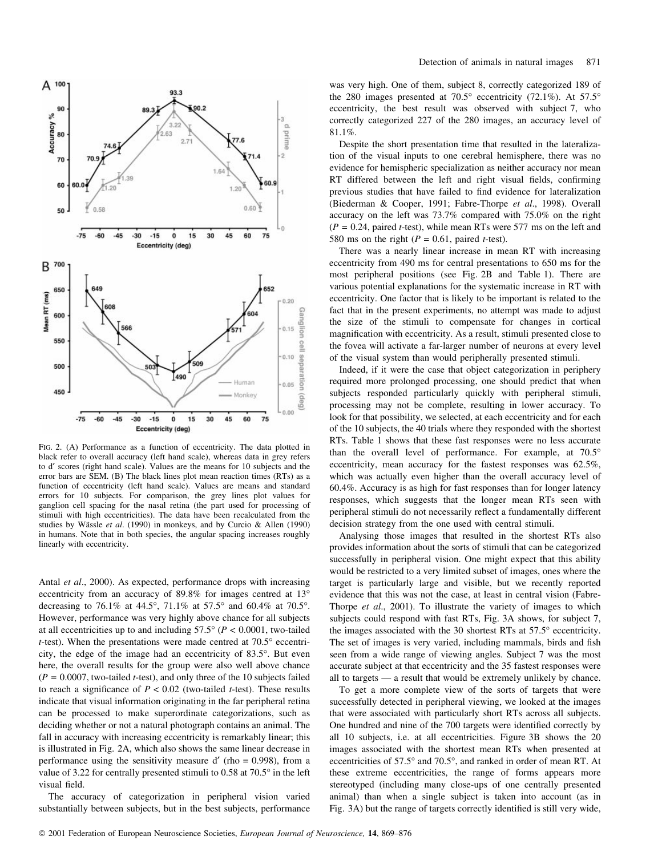

FIG. 2. (A) Performance as a function of eccentricity. The data plotted in black refer to overall accuracy (left hand scale), whereas data in grey refers to d' scores (right hand scale). Values are the means for 10 subjects and the error bars are SEM. (B) The black lines plot mean reaction times (RTs) as a function of eccentricity (left hand scale). Values are means and standard errors for 10 subjects. For comparison, the grey lines plot values for ganglion cell spacing for the nasal retina (the part used for processing of stimuli with high eccentricities). The data have been recalculated from the studies by Wässle et al. (1990) in monkeys, and by Curcio & Allen (1990) in humans. Note that in both species, the angular spacing increases roughly linearly with eccentricity.

Antal et al., 2000). As expected, performance drops with increasing eccentricity from an accuracy of 89.8% for images centred at 13° decreasing to 76.1% at 44.5°, 71.1% at 57.5° and 60.4% at 70.5°. However, performance was very highly above chance for all subjects at all eccentricities up to and including  $57.5^\circ$  ( $P < 0.0001$ , two-tailed t-test). When the presentations were made centred at  $70.5^\circ$  eccentricity, the edge of the image had an eccentricity of 83.5°. But even here, the overall results for the group were also well above chance  $(P = 0.0007$ , two-tailed *t*-test), and only three of the 10 subjects failed to reach a significance of  $P < 0.02$  (two-tailed t-test). These results indicate that visual information originating in the far peripheral retina can be processed to make superordinate categorizations, such as deciding whether or not a natural photograph contains an animal. The fall in accuracy with increasing eccentricity is remarkably linear; this is illustrated in Fig. 2A, which also shows the same linear decrease in performance using the sensitivity measure  $d'$  (rho = 0.998), from a value of 3.22 for centrally presented stimuli to 0.58 at 70.5° in the left visual field.

The accuracy of categorization in peripheral vision varied substantially between subjects, but in the best subjects, performance

was very high. One of them, subject 8, correctly categorized 189 of the 280 images presented at 70.5° eccentricity (72.1%). At 57.5° eccentricity, the best result was observed with subject 7, who correctly categorized 227 of the 280 images, an accuracy level of 81.1%.

Despite the short presentation time that resulted in the lateralization of the visual inputs to one cerebral hemisphere, there was no evidence for hemispheric specialization as neither accuracy nor mean RT differed between the left and right visual fields, confirming previous studies that have failed to find evidence for lateralization (Biederman & Cooper, 1991; Fabre-Thorpe et al., 1998). Overall accuracy on the left was 73.7% compared with 75.0% on the right  $(P = 0.24$ , paired *t*-test), while mean RTs were 577 ms on the left and 580 ms on the right ( $P = 0.61$ , paired t-test).

There was a nearly linear increase in mean RT with increasing eccentricity from 490 ms for central presentations to 650 ms for the most peripheral positions (see Fig. 2B and Table 1). There are various potential explanations for the systematic increase in RT with eccentricity. One factor that is likely to be important is related to the fact that in the present experiments, no attempt was made to adjust the size of the stimuli to compensate for changes in cortical magnification with eccentricity. As a result, stimuli presented close to the fovea will activate a far-larger number of neurons at every level of the visual system than would peripherally presented stimuli.

Indeed, if it were the case that object categorization in periphery required more prolonged processing, one should predict that when subjects responded particularly quickly with peripheral stimuli, processing may not be complete, resulting in lower accuracy. To look for that possibility, we selected, at each eccentricity and for each of the 10 subjects, the 40 trials where they responded with the shortest RTs. Table 1 shows that these fast responses were no less accurate than the overall level of performance. For example, at 70.5° eccentricity, mean accuracy for the fastest responses was 62.5%, which was actually even higher than the overall accuracy level of 60.4%. Accuracy is as high for fast responses than for longer latency responses, which suggests that the longer mean RTs seen with peripheral stimuli do not necessarily reflect a fundamentally different decision strategy from the one used with central stimuli.

Analysing those images that resulted in the shortest RTs also provides information about the sorts of stimuli that can be categorized successfully in peripheral vision. One might expect that this ability would be restricted to a very limited subset of images, ones where the target is particularly large and visible, but we recently reported evidence that this was not the case, at least in central vision (Fabre-Thorpe et al., 2001). To illustrate the variety of images to which subjects could respond with fast RTs, Fig. 3A shows, for subject 7, the images associated with the 30 shortest RTs at 57.5° eccentricity. The set of images is very varied, including mammals, birds and fish seen from a wide range of viewing angles. Subject 7 was the most accurate subject at that eccentricity and the 35 fastest responses were all to targets  $\rightharpoonup$  a result that would be extremely unlikely by chance.

To get a more complete view of the sorts of targets that were successfully detected in peripheral viewing, we looked at the images that were associated with particularly short RTs across all subjects. One hundred and nine of the 700 targets were identified correctly by all 10 subjects, i.e. at all eccentricities. Figure 3B shows the 20 images associated with the shortest mean RTs when presented at eccentricities of 57.5° and 70.5°, and ranked in order of mean RT. At these extreme eccentricities, the range of forms appears more stereotyped (including many close-ups of one centrally presented animal) than when a single subject is taken into account (as in Fig. 3A) but the range of targets correctly identified is still very wide,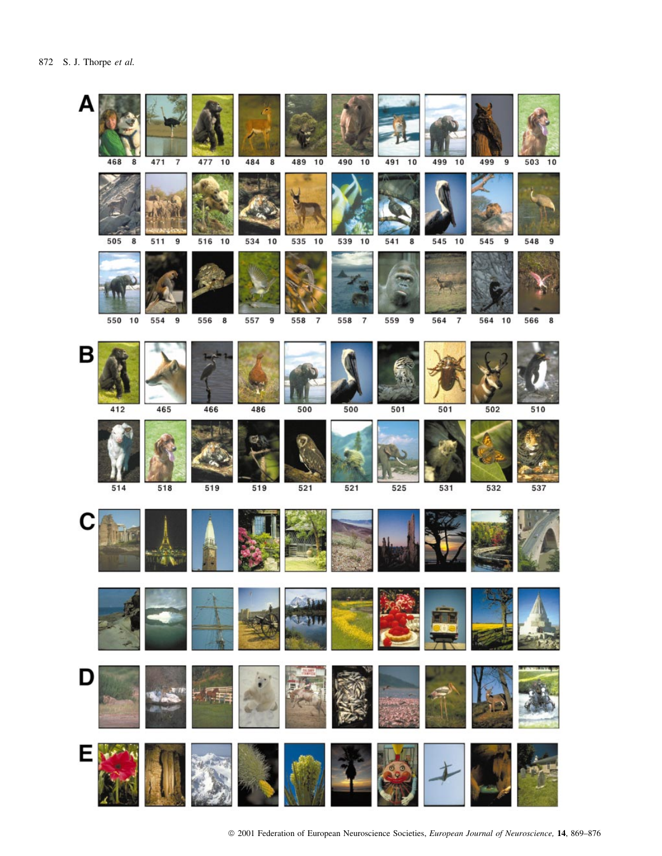

© 2001 Federation of European Neuroscience Societies, European Journal of Neuroscience, 14, 869-876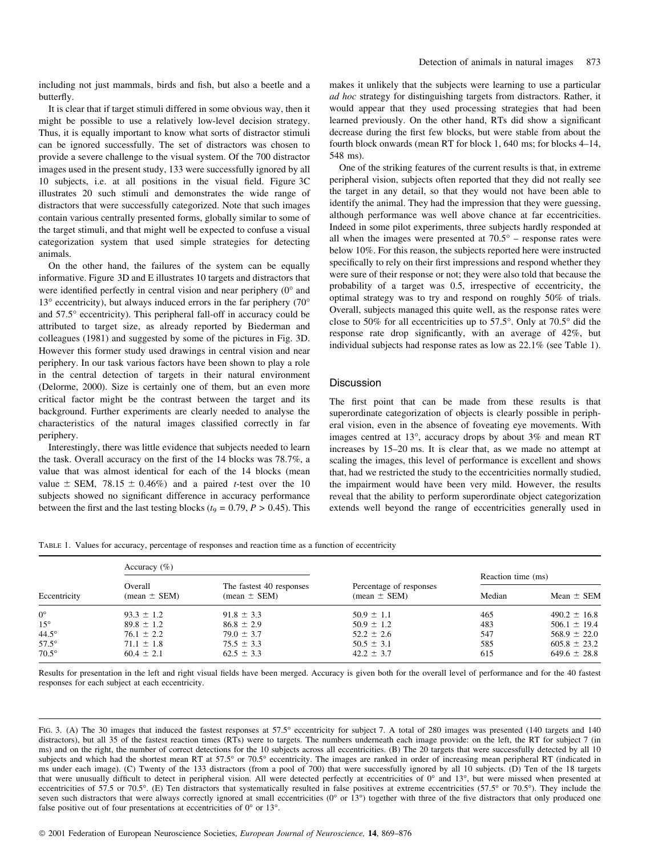Detection of animals in natural images 873

including not just mammals, birds and fish, but also a beetle and a butterfly.

It is clear that if target stimuli differed in some obvious way, then it might be possible to use a relatively low-level decision strategy. Thus, it is equally important to know what sorts of distractor stimuli can be ignored successfully. The set of distractors was chosen to provide a severe challenge to the visual system. Of the 700 distractor images used in the present study, 133 were successfully ignored by all 10 subjects, i.e. at all positions in the visual field. Figure 3C illustrates 20 such stimuli and demonstrates the wide range of distractors that were successfully categorized. Note that such images contain various centrally presented forms, globally similar to some of the target stimuli, and that might well be expected to confuse a visual categorization system that used simple strategies for detecting animals.

On the other hand, the failures of the system can be equally informative. Figure 3D and E illustrates 10 targets and distractors that were identified perfectly in central vision and near periphery  $(0^{\circ}$  and  $13^{\circ}$  eccentricity), but always induced errors in the far periphery (70 $^{\circ}$ ) and 57.5° eccentricity). This peripheral fall-off in accuracy could be attributed to target size, as already reported by Biederman and colleagues (1981) and suggested by some of the pictures in Fig. 3D. However this former study used drawings in central vision and near periphery. In our task various factors have been shown to play a role in the central detection of targets in their natural environment (Delorme, 2000). Size is certainly one of them, but an even more critical factor might be the contrast between the target and its background. Further experiments are clearly needed to analyse the characteristics of the natural images classified correctly in far periphery.

Interestingly, there was little evidence that subjects needed to learn the task. Overall accuracy on the first of the  $14$  blocks was  $78.7\%$ , a value that was almost identical for each of the 14 blocks (mean value  $\pm$  SEM, 78.15  $\pm$  0.46%) and a paired *t*-test over the 10 subjects showed no significant difference in accuracy performance between the first and the last testing blocks ( $t_9 = 0.79$ ,  $P > 0.45$ ). This makes it unlikely that the subjects were learning to use a particular ad hoc strategy for distinguishing targets from distractors. Rather, it would appear that they used processing strategies that had been learned previously. On the other hand, RTs did show a significant decrease during the first few blocks, but were stable from about the fourth block onwards (mean RT for block  $1,640$  ms; for blocks  $4-14$ , 548 ms).

One of the striking features of the current results is that, in extreme peripheral vision, subjects often reported that they did not really see the target in any detail, so that they would not have been able to identify the animal. They had the impression that they were guessing, although performance was well above chance at far eccentricities. Indeed in some pilot experiments, three subjects hardly responded at all when the images were presented at  $70.5^{\circ}$  – response rates were below 10%. For this reason, the subjects reported here were instructed specifically to rely on their first impressions and respond whether they were sure of their response or not; they were also told that because the probability of a target was 0.5, irrespective of eccentricity, the optimal strategy was to try and respond on roughly 50% of trials. Overall, subjects managed this quite well, as the response rates were close to 50% for all eccentricities up to 57.5°. Only at 70.5° did the response rate drop significantly, with an average of 42%, but individual subjects had response rates as low as 22.1% (see Table 1).

#### Discussion

The first point that can be made from these results is that superordinate categorization of objects is clearly possible in peripheral vision, even in the absence of foveating eye movements. With images centred at 13°, accuracy drops by about 3% and mean RT increases by 15-20 ms. It is clear that, as we made no attempt at scaling the images, this level of performance is excellent and shows that, had we restricted the study to the eccentricities normally studied, the impairment would have been very mild. However, the results reveal that the ability to perform superordinate object categorization extends well beyond the range of eccentricities generally used in

| TABLE 1. Values for accuracy, percentage of responses and reaction time as a function of eccentricity |  |  |
|-------------------------------------------------------------------------------------------------------|--|--|
|                                                                                                       |  |  |

| Eccentricity | Accuracy $(\% )$          |                                            |                                           |                              |                  |
|--------------|---------------------------|--------------------------------------------|-------------------------------------------|------------------------------|------------------|
|              | Overall<br>$mean \pm SEM$ | The fastest 40 responses<br>$mean \pm SEM$ | Percentage of responses<br>$mean \pm SEM$ | Reaction time (ms)<br>Median | Mean $\pm$ SEM   |
| $0^{\circ}$  | $93.3 \pm 1.2$            | $91.8 \pm 3.3$                             | $50.9 \pm 1.1$                            | 465                          | $490.2 \pm 16.8$ |
| $15^{\circ}$ | $89.8 \pm 1.2$            | $86.8 \pm 2.9$                             | $50.9 \pm 1.2$                            | 483                          | $506.1 \pm 19.4$ |
| $44.5^\circ$ | $76.1 \pm 2.2$            | $79.0 \pm 3.7$                             | $52.2 \pm 2.6$                            | 547                          | $568.9 \pm 22.0$ |
| $57.5^\circ$ | $71.1 \pm 1.8$            | $75.5 \pm 3.3$                             | $50.5 \pm 3.1$                            | 585                          | $605.8 \pm 23.2$ |
| $70.5^\circ$ | $60.4 \pm 2.1$            | $62.5 \pm 3.3$                             | $42.2 \pm 3.7$                            | 615                          | $649.6 \pm 28.8$ |

Results for presentation in the left and right visual fields have been merged. Accuracy is given both for the overall level of performance and for the 40 fastest responses for each subject at each eccentricity.

FIG. 3. (A) The 30 images that induced the fastest responses at 57.5° eccentricity for subject 7. A total of 280 images was presented (140 targets and 140 distractors), but all 35 of the fastest reaction times (RTs) were to targets. The numbers underneath each image provide: on the left, the RT for subject 7 (in ms) and on the right, the number of correct detections for the 10 subjects across all eccentricities. (B) The 20 targets that were successfully detected by all 10 subjects and which had the shortest mean RT at 57.5° or 70.5° eccentricity. The images are ranked in order of increasing mean peripheral RT (indicated in ms under each image). (C) Twenty of the 133 distractors (from a pool of 700) that were successfully ignored by all 10 subjects. (D) Ten of the 18 targets that were unusually difficult to detect in peripheral vision. All were detected perfectly at eccentricities of 0° and 13°, but were missed when presented at eccentricities of 57.5 or 70.5°. (E) Ten distractors that systematically resulted in false positives at extreme eccentricities (57.5° or 70.5°). They include the seven such distractors that were always correctly ignored at small eccentricities ( $0^{\circ}$  or  $13^{\circ}$ ) together with three of the five distractors that only produced one false positive out of four presentations at eccentricities of  $0^{\circ}$  or 13°.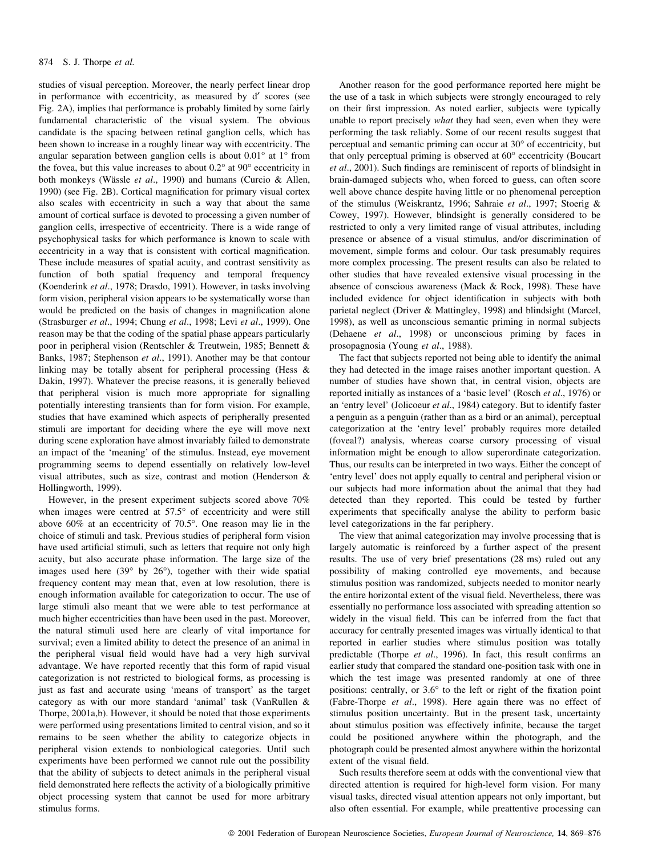studies of visual perception. Moreover, the nearly perfect linear drop in performance with eccentricity, as measured by d' scores (see Fig. 2A), implies that performance is probably limited by some fairly fundamental characteristic of the visual system. The obvious candidate is the spacing between retinal ganglion cells, which has been shown to increase in a roughly linear way with eccentricity. The angular separation between ganglion cells is about 0.01° at 1° from the fovea, but this value increases to about 0.2° at 90° eccentricity in both monkeys (Wässle et al., 1990) and humans (Curcio & Allen, 1990) (see Fig. 2B). Cortical magnification for primary visual cortex also scales with eccentricity in such a way that about the same amount of cortical surface is devoted to processing a given number of ganglion cells, irrespective of eccentricity. There is a wide range of psychophysical tasks for which performance is known to scale with eccentricity in a way that is consistent with cortical magnification. These include measures of spatial acuity, and contrast sensitivity as function of both spatial frequency and temporal frequency (Koenderink et al., 1978; Drasdo, 1991). However, in tasks involving form vision, peripheral vision appears to be systematically worse than would be predicted on the basis of changes in magnification alone (Strasburger et al., 1994; Chung et al., 1998; Levi et al., 1999). One reason may be that the coding of the spatial phase appears particularly poor in peripheral vision (Rentschler & Treutwein, 1985; Bennett & Banks, 1987; Stephenson et al., 1991). Another may be that contour linking may be totally absent for peripheral processing (Hess & Dakin, 1997). Whatever the precise reasons, it is generally believed that peripheral vision is much more appropriate for signalling potentially interesting transients than for form vision. For example, studies that have examined which aspects of peripherally presented stimuli are important for deciding where the eye will move next during scene exploration have almost invariably failed to demonstrate an impact of the `meaning' of the stimulus. Instead, eye movement programming seems to depend essentially on relatively low-level visual attributes, such as size, contrast and motion (Henderson & Hollingworth, 1999).

However, in the present experiment subjects scored above 70% when images were centred at 57.5° of eccentricity and were still above 60% at an eccentricity of 70.5°. One reason may lie in the choice of stimuli and task. Previous studies of peripheral form vision have used artificial stimuli, such as letters that require not only high acuity, but also accurate phase information. The large size of the images used here (39° by 26°), together with their wide spatial frequency content may mean that, even at low resolution, there is enough information available for categorization to occur. The use of large stimuli also meant that we were able to test performance at much higher eccentricities than have been used in the past. Moreover, the natural stimuli used here are clearly of vital importance for survival; even a limited ability to detect the presence of an animal in the peripheral visual field would have had a very high survival advantage. We have reported recently that this form of rapid visual categorization is not restricted to biological forms, as processing is just as fast and accurate using `means of transport' as the target category as with our more standard 'animal' task (VanRullen & Thorpe, 2001a,b). However, it should be noted that those experiments were performed using presentations limited to central vision, and so it remains to be seen whether the ability to categorize objects in peripheral vision extends to nonbiological categories. Until such experiments have been performed we cannot rule out the possibility that the ability of subjects to detect animals in the peripheral visual field demonstrated here reflects the activity of a biologically primitive object processing system that cannot be used for more arbitrary stimulus forms.

Another reason for the good performance reported here might be the use of a task in which subjects were strongly encouraged to rely on their first impression. As noted earlier, subjects were typically unable to report precisely what they had seen, even when they were performing the task reliably. Some of our recent results suggest that perceptual and semantic priming can occur at 30° of eccentricity, but that only perceptual priming is observed at 60° eccentricity (Boucart  $et al., 2001$ ). Such findings are reminiscent of reports of blindsight in brain-damaged subjects who, when forced to guess, can often score well above chance despite having little or no phenomenal perception of the stimulus (Weiskrantz, 1996; Sahraie et al., 1997; Stoerig & Cowey, 1997). However, blindsight is generally considered to be restricted to only a very limited range of visual attributes, including presence or absence of a visual stimulus, and/or discrimination of movement, simple forms and colour. Our task presumably requires more complex processing. The present results can also be related to other studies that have revealed extensive visual processing in the absence of conscious awareness (Mack & Rock, 1998). These have included evidence for object identification in subjects with both parietal neglect (Driver & Mattingley, 1998) and blindsight (Marcel, 1998), as well as unconscious semantic priming in normal subjects (Dehaene et al., 1998) or unconscious priming by faces in prosopagnosia (Young et al., 1988).

The fact that subjects reported not being able to identify the animal they had detected in the image raises another important question. A number of studies have shown that, in central vision, objects are reported initially as instances of a 'basic level' (Rosch et al., 1976) or an 'entry level' (Jolicoeur et al., 1984) category. But to identify faster a penguin as a penguin (rather than as a bird or an animal), perceptual categorization at the `entry level' probably requires more detailed (foveal?) analysis, whereas coarse cursory processing of visual information might be enough to allow superordinate categorization. Thus, our results can be interpreted in two ways. Either the concept of `entry level' does not apply equally to central and peripheral vision or our subjects had more information about the animal that they had detected than they reported. This could be tested by further experiments that specifically analyse the ability to perform basic level categorizations in the far periphery.

The view that animal categorization may involve processing that is largely automatic is reinforced by a further aspect of the present results. The use of very brief presentations (28 ms) ruled out any possibility of making controlled eye movements, and because stimulus position was randomized, subjects needed to monitor nearly the entire horizontal extent of the visual field. Nevertheless, there was essentially no performance loss associated with spreading attention so widely in the visual field. This can be inferred from the fact that accuracy for centrally presented images was virtually identical to that reported in earlier studies where stimulus position was totally predictable (Thorpe et al., 1996). In fact, this result confirms an earlier study that compared the standard one-position task with one in which the test image was presented randomly at one of three positions: centrally, or  $3.6^\circ$  to the left or right of the fixation point (Fabre-Thorpe et al., 1998). Here again there was no effect of stimulus position uncertainty. But in the present task, uncertainty about stimulus position was effectively infinite, because the target could be positioned anywhere within the photograph, and the photograph could be presented almost anywhere within the horizontal extent of the visual field.

Such results therefore seem at odds with the conventional view that directed attention is required for high-level form vision. For many visual tasks, directed visual attention appears not only important, but also often essential. For example, while preattentive processing can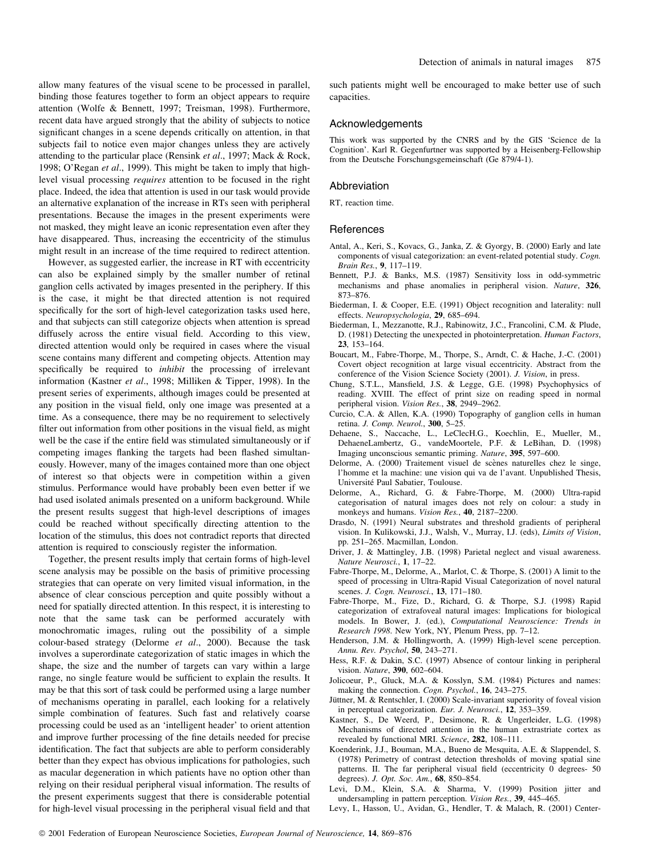allow many features of the visual scene to be processed in parallel, binding those features together to form an object appears to require attention (Wolfe & Bennett, 1997; Treisman, 1998). Furthermore, recent data have argued strongly that the ability of subjects to notice significant changes in a scene depends critically on attention, in that subjects fail to notice even major changes unless they are actively attending to the particular place (Rensink et al., 1997; Mack & Rock, 1998; O'Regan et al., 1999). This might be taken to imply that highlevel visual processing requires attention to be focused in the right place. Indeed, the idea that attention is used in our task would provide an alternative explanation of the increase in RTs seen with peripheral presentations. Because the images in the present experiments were not masked, they might leave an iconic representation even after they have disappeared. Thus, increasing the eccentricity of the stimulus might result in an increase of the time required to redirect attention.

However, as suggested earlier, the increase in RT with eccentricity can also be explained simply by the smaller number of retinal ganglion cells activated by images presented in the periphery. If this is the case, it might be that directed attention is not required specifically for the sort of high-level categorization tasks used here, and that subjects can still categorize objects when attention is spread diffusely across the entire visual field. According to this view, directed attention would only be required in cases where the visual scene contains many different and competing objects. Attention may specifically be required to *inhibit* the processing of irrelevant information (Kastner et al., 1998; Milliken & Tipper, 1998). In the present series of experiments, although images could be presented at any position in the visual field, only one image was presented at a time. As a consequence, there may be no requirement to selectively filter out information from other positions in the visual field, as might well be the case if the entire field was stimulated simultaneously or if competing images flanking the targets had been flashed simultaneously. However, many of the images contained more than one object of interest so that objects were in competition within a given stimulus. Performance would have probably been even better if we had used isolated animals presented on a uniform background. While the present results suggest that high-level descriptions of images could be reached without specifically directing attention to the location of the stimulus, this does not contradict reports that directed attention is required to consciously register the information.

Together, the present results imply that certain forms of high-level scene analysis may be possible on the basis of primitive processing strategies that can operate on very limited visual information, in the absence of clear conscious perception and quite possibly without a need for spatially directed attention. In this respect, it is interesting to note that the same task can be performed accurately with monochromatic images, ruling out the possibility of a simple colour-based strategy (Delorme et al., 2000). Because the task involves a superordinate categorization of static images in which the shape, the size and the number of targets can vary within a large range, no single feature would be sufficient to explain the results. It may be that this sort of task could be performed using a large number of mechanisms operating in parallel, each looking for a relatively simple combination of features. Such fast and relatively coarse processing could be used as an `intelligent header' to orient attention and improve further processing of the fine details needed for precise identification. The fact that subjects are able to perform considerably better than they expect has obvious implications for pathologies, such as macular degeneration in which patients have no option other than relying on their residual peripheral visual information. The results of the present experiments suggest that there is considerable potential for high-level visual processing in the peripheral visual field and that

such patients might well be encouraged to make better use of such capacities.

#### Acknowledgements

This work was supported by the CNRS and by the GIS 'Science de la Cognition'. Karl R. Gegenfurtner was supported by a Heisenberg-Fellowship from the Deutsche Forschungsgemeinschaft (Ge 879/4-1).

#### Abbreviation

RT, reaction time.

#### References

- Antal, A., Keri, S., Kovacs, G., Janka, Z. & Gyorgy, B. (2000) Early and late components of visual categorization: an event-related potential study. Cogn. Brain Res., 9, 117-119.
- Bennett, P.J. & Banks, M.S. (1987) Sensitivity loss in odd-symmetric mechanisms and phase anomalies in peripheral vision. Nature, 326, 873±876.
- Biederman, I. & Cooper, E.E. (1991) Object recognition and laterality: null effects. Neuropsychologia, 29, 685-694.
- Biederman, I., Mezzanotte, R.J., Rabinowitz, J.C., Francolini, C.M. & Plude, D. (1981) Detecting the unexpected in photointerpretation. Human Factors, 23, 153±164.
- Boucart, M., Fabre-Thorpe, M., Thorpe, S., Arndt, C. & Hache, J.-C. (2001) Covert object recognition at large visual eccentricity. Abstract from the conference of the Vision Science Society (2001). J. Vision, in press.
- Chung, S.T.L., Mansfield, J.S. & Legge, G.E. (1998) Psychophysics of reading. XVIII. The effect of print size on reading speed in normal peripheral vision. Vision Res., 38, 2949-2962.
- Curcio, C.A. & Allen, K.A. (1990) Topography of ganglion cells in human retina. J. Comp. Neurol., 300, 5-25.
- Dehaene, S., Naccache, L., LeClecH.G., Koechlin, E., Mueller, M., DehaeneLambertz, G., vandeMoortele, P.F. & LeBihan, D. (1998) Imaging unconscious semantic priming. Nature, 395, 597-600.
- Delorme, A. (2000) Traitement visuel de scènes naturelles chez le singe, l'homme et la machine: une vision qui va de l'avant. Unpublished Thesis, Université Paul Sabatier, Toulouse.
- Delorme, A., Richard, G. & Fabre-Thorpe, M. (2000) Ultra-rapid categorisation of natural images does not rely on colour: a study in monkeys and humans. Vision Res., 40, 2187-2200.
- Drasdo, N. (1991) Neural substrates and threshold gradients of peripheral vision. In Kulikowski, J.J., Walsh, V., Murray, I.J. (eds), Limits of Vision, pp. 251-265. Macmillan, London.
- Driver, J. & Mattingley, J.B. (1998) Parietal neglect and visual awareness. Nature Neurosci., 1, 17-22.
- Fabre-Thorpe, M., Delorme, A., Marlot, C. & Thorpe, S. (2001) A limit to the speed of processing in Ultra-Rapid Visual Categorization of novel natural scenes. J. Cogn. Neurosci., 13, 171-180.
- Fabre-Thorpe, M., Fize, D., Richard, G. & Thorpe, S.J. (1998) Rapid categorization of extrafoveal natural images: Implications for biological models. In Bower, J. (ed.), Computational Neuroscience: Trends in Research 1998. New York, NY, Plenum Press, pp. 7-12.
- Henderson, J.M. & Hollingworth, A. (1999) High-level scene perception. Annu. Rev. Psychol, 50, 243-271.
- Hess, R.F. & Dakin, S.C. (1997) Absence of contour linking in peripheral vision. Nature, 390, 602-604.
- Jolicoeur, P., Gluck, M.A. & Kosslyn, S.M. (1984) Pictures and names: making the connection. Cogn. Psychol., 16, 243-275.
- Jüttner, M. & Rentschler, I. (2000) Scale-invariant superiority of foveal vision in perceptual categorization. Eur. J. Neurosci., 12, 353-359.
- Kastner, S., De Weerd, P., Desimone, R. & Ungerleider, L.G. (1998) Mechanisms of directed attention in the human extrastriate cortex as revealed by functional MRI. Science, 282, 108-111.
- Koenderink, J.J., Bouman, M.A., Bueno de Mesquita, A.E. & Slappendel, S. (1978) Perimetry of contrast detection thresholds of moving spatial sine patterns. II. The far peripheral visual field (eccentricity 0 degrees- 50 degrees). J. Opt. Soc. Am., 68, 850-854.
- Levi, D.M., Klein, S.A. & Sharma, V. (1999) Position jitter and undersampling in pattern perception. Vision Res., 39, 445-465.
- Levy, I., Hasson, U., Avidan, G., Hendler, T. & Malach, R. (2001) Center-